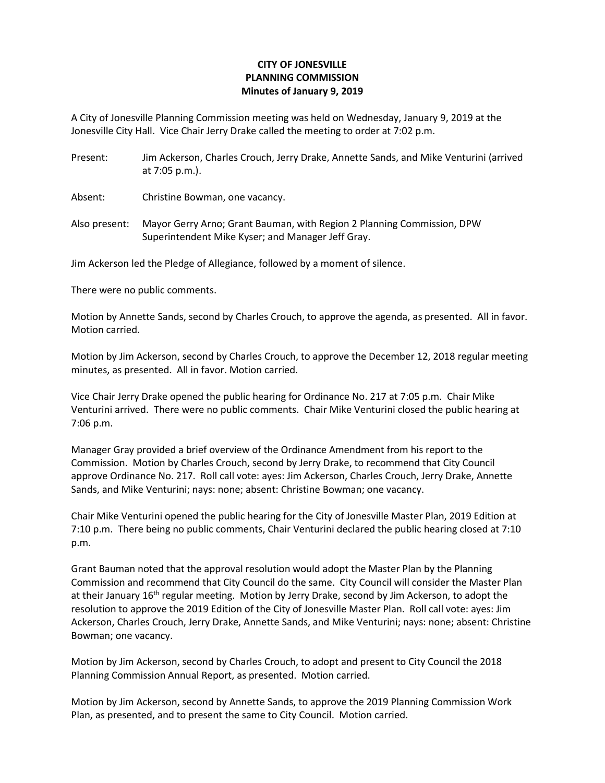## **CITY OF JONESVILLE PLANNING COMMISSION Minutes of January 9, 2019**

A City of Jonesville Planning Commission meeting was held on Wednesday, January 9, 2019 at the Jonesville City Hall. Vice Chair Jerry Drake called the meeting to order at 7:02 p.m.

Present: Jim Ackerson, Charles Crouch, Jerry Drake, Annette Sands, and Mike Venturini (arrived at 7:05 p.m.).

Absent: Christine Bowman, one vacancy.

Also present: Mayor Gerry Arno; Grant Bauman, with Region 2 Planning Commission, DPW Superintendent Mike Kyser; and Manager Jeff Gray.

Jim Ackerson led the Pledge of Allegiance, followed by a moment of silence.

There were no public comments.

Motion by Annette Sands, second by Charles Crouch, to approve the agenda, as presented. All in favor. Motion carried.

Motion by Jim Ackerson, second by Charles Crouch, to approve the December 12, 2018 regular meeting minutes, as presented. All in favor. Motion carried.

Vice Chair Jerry Drake opened the public hearing for Ordinance No. 217 at 7:05 p.m. Chair Mike Venturini arrived. There were no public comments. Chair Mike Venturini closed the public hearing at 7:06 p.m.

Manager Gray provided a brief overview of the Ordinance Amendment from his report to the Commission. Motion by Charles Crouch, second by Jerry Drake, to recommend that City Council approve Ordinance No. 217. Roll call vote: ayes: Jim Ackerson, Charles Crouch, Jerry Drake, Annette Sands, and Mike Venturini; nays: none; absent: Christine Bowman; one vacancy.

Chair Mike Venturini opened the public hearing for the City of Jonesville Master Plan, 2019 Edition at 7:10 p.m. There being no public comments, Chair Venturini declared the public hearing closed at 7:10 p.m.

Grant Bauman noted that the approval resolution would adopt the Master Plan by the Planning Commission and recommend that City Council do the same. City Council will consider the Master Plan at their January 16<sup>th</sup> regular meeting. Motion by Jerry Drake, second by Jim Ackerson, to adopt the resolution to approve the 2019 Edition of the City of Jonesville Master Plan. Roll call vote: ayes: Jim Ackerson, Charles Crouch, Jerry Drake, Annette Sands, and Mike Venturini; nays: none; absent: Christine Bowman; one vacancy.

Motion by Jim Ackerson, second by Charles Crouch, to adopt and present to City Council the 2018 Planning Commission Annual Report, as presented. Motion carried.

Motion by Jim Ackerson, second by Annette Sands, to approve the 2019 Planning Commission Work Plan, as presented, and to present the same to City Council. Motion carried.